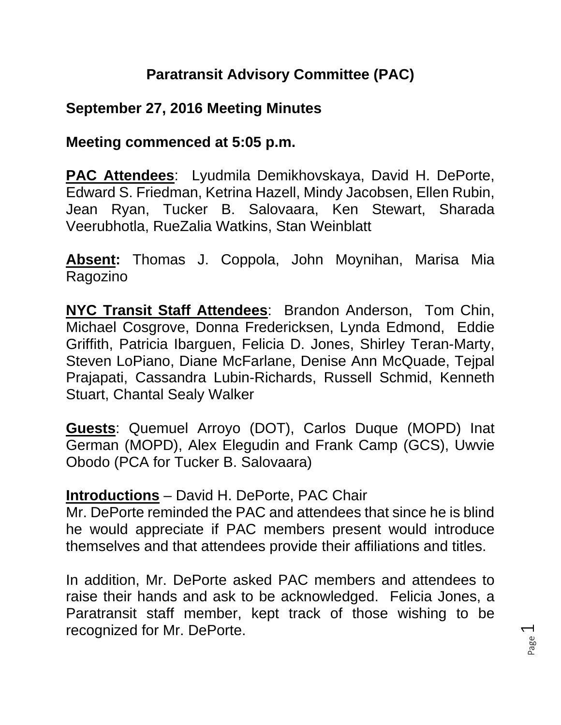# **Paratransit Advisory Committee (PAC)**

## **September 27, 2016 Meeting Minutes**

#### **Meeting commenced at 5:05 p.m.**

**PAC Attendees**: Lyudmila Demikhovskaya, David H. DePorte, Edward S. Friedman, Ketrina Hazell, Mindy Jacobsen, Ellen Rubin, Jean Ryan, Tucker B. Salovaara, Ken Stewart, Sharada Veerubhotla, RueZalia Watkins, Stan Weinblatt

**Absent:** Thomas J. Coppola, John Moynihan, Marisa Mia Ragozino

**NYC Transit Staff Attendees**: Brandon Anderson, Tom Chin, Michael Cosgrove, Donna Fredericksen, Lynda Edmond, Eddie Griffith, Patricia Ibarguen, Felicia D. Jones, Shirley Teran-Marty, Steven LoPiano, Diane McFarlane, Denise Ann McQuade, Tejpal Prajapati, Cassandra Lubin-Richards, Russell Schmid, Kenneth Stuart, Chantal Sealy Walker

**Guests**: Quemuel Arroyo (DOT), Carlos Duque (MOPD) Inat German (MOPD), Alex Elegudin and Frank Camp (GCS), Uwvie Obodo (PCA for Tucker B. Salovaara)

#### **Introductions** – David H. DePorte, PAC Chair

Mr. DePorte reminded the PAC and attendees that since he is blind he would appreciate if PAC members present would introduce themselves and that attendees provide their affiliations and titles.

In addition, Mr. DePorte asked PAC members and attendees to raise their hands and ask to be acknowledged. Felicia Jones, a Paratransit staff member, kept track of those wishing to be recognized for Mr. DePorte.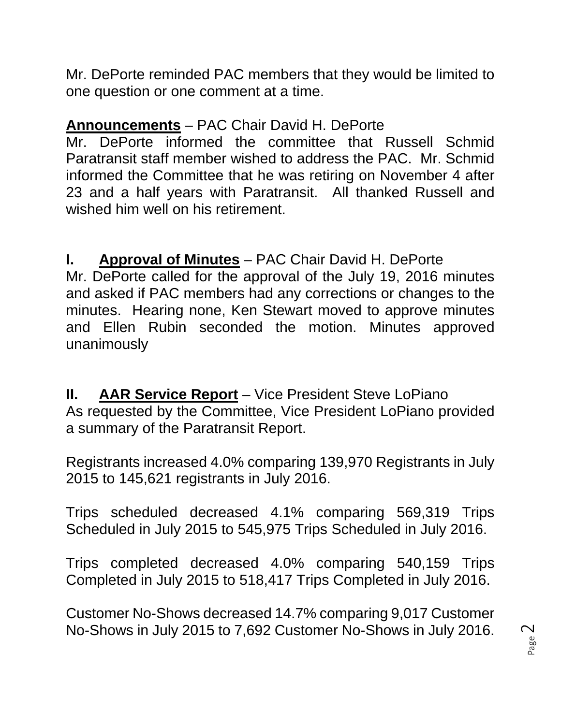Mr. DePorte reminded PAC members that they would be limited to one question or one comment at a time.

# **Announcements** – PAC Chair David H. DePorte

Mr. DePorte informed the committee that Russell Schmid Paratransit staff member wished to address the PAC. Mr. Schmid informed the Committee that he was retiring on November 4 after 23 and a half years with Paratransit. All thanked Russell and wished him well on his retirement.

**I. Approval of Minutes** – PAC Chair David H. DePorte Mr. DePorte called for the approval of the July 19, 2016 minutes and asked if PAC members had any corrections or changes to the minutes. Hearing none, Ken Stewart moved to approve minutes and Ellen Rubin seconded the motion. Minutes approved unanimously

**II. AAR Service Report** – Vice President Steve LoPiano As requested by the Committee, Vice President LoPiano provided a summary of the Paratransit Report.

Registrants increased 4.0% comparing 139,970 Registrants in July 2015 to 145,621 registrants in July 2016.

Trips scheduled decreased 4.1% comparing 569,319 Trips Scheduled in July 2015 to 545,975 Trips Scheduled in July 2016.

Trips completed decreased 4.0% comparing 540,159 Trips Completed in July 2015 to 518,417 Trips Completed in July 2016.

Customer No-Shows decreased 14.7% comparing 9,017 Customer No-Shows in July 2015 to 7,692 Customer No-Shows in July 2016.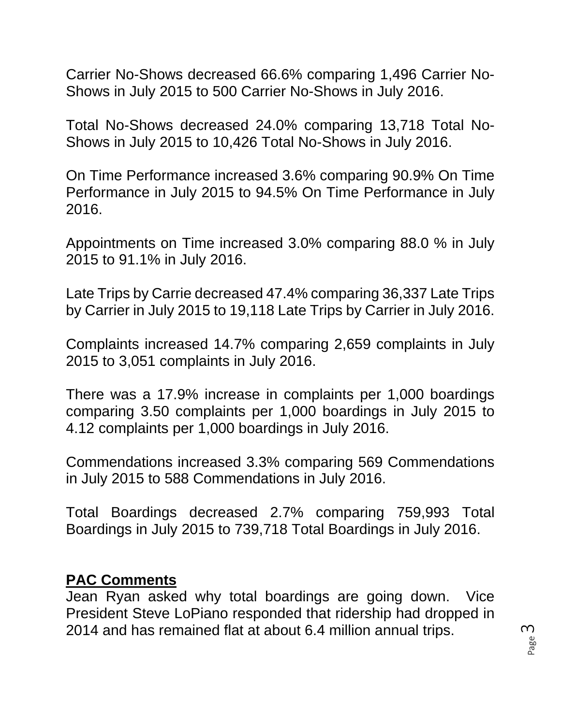Carrier No-Shows decreased 66.6% comparing 1,496 Carrier No-Shows in July 2015 to 500 Carrier No-Shows in July 2016.

Total No-Shows decreased 24.0% comparing 13,718 Total No-Shows in July 2015 to 10,426 Total No-Shows in July 2016.

On Time Performance increased 3.6% comparing 90.9% On Time Performance in July 2015 to 94.5% On Time Performance in July 2016.

Appointments on Time increased 3.0% comparing 88.0 % in July 2015 to 91.1% in July 2016.

Late Trips by Carrie decreased 47.4% comparing 36,337 Late Trips by Carrier in July 2015 to 19,118 Late Trips by Carrier in July 2016.

Complaints increased 14.7% comparing 2,659 complaints in July 2015 to 3,051 complaints in July 2016.

There was a 17.9% increase in complaints per 1,000 boardings comparing 3.50 complaints per 1,000 boardings in July 2015 to 4.12 complaints per 1,000 boardings in July 2016.

Commendations increased 3.3% comparing 569 Commendations in July 2015 to 588 Commendations in July 2016.

Total Boardings decreased 2.7% comparing 759,993 Total Boardings in July 2015 to 739,718 Total Boardings in July 2016.

#### **PAC Comments**

Jean Ryan asked why total boardings are going down. Vice President Steve LoPiano responded that ridership had dropped in 2014 and has remained flat at about 6.4 million annual trips.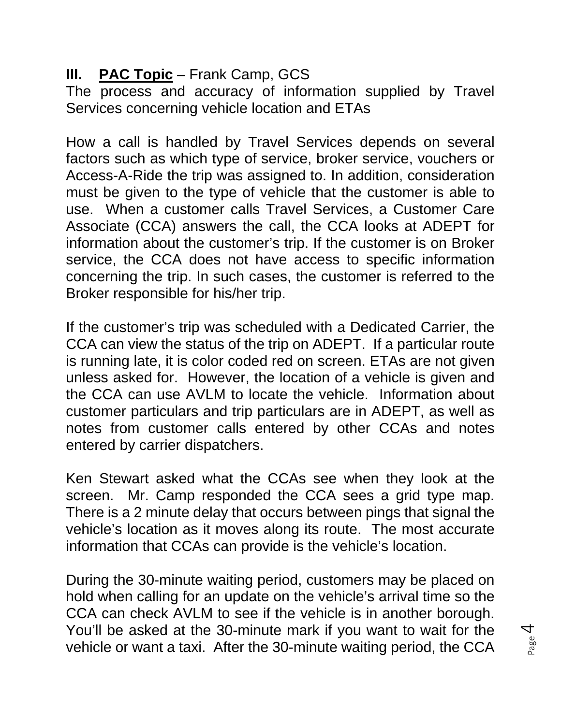# **III. PAC Topic** – Frank Camp, GCS

The process and accuracy of information supplied by Travel Services concerning vehicle location and ETAs

How a call is handled by Travel Services depends on several factors such as which type of service, broker service, vouchers or Access-A-Ride the trip was assigned to. In addition, consideration must be given to the type of vehicle that the customer is able to use. When a customer calls Travel Services, a Customer Care Associate (CCA) answers the call, the CCA looks at ADEPT for information about the customer's trip. If the customer is on Broker service, the CCA does not have access to specific information concerning the trip. In such cases, the customer is referred to the Broker responsible for his/her trip.

If the customer's trip was scheduled with a Dedicated Carrier, the CCA can view the status of the trip on ADEPT. If a particular route is running late, it is color coded red on screen. ETAs are not given unless asked for. However, the location of a vehicle is given and the CCA can use AVLM to locate the vehicle. Information about customer particulars and trip particulars are in ADEPT, as well as notes from customer calls entered by other CCAs and notes entered by carrier dispatchers.

Ken Stewart asked what the CCAs see when they look at the screen. Mr. Camp responded the CCA sees a grid type map. There is a 2 minute delay that occurs between pings that signal the vehicle's location as it moves along its route. The most accurate information that CCAs can provide is the vehicle's location.

During the 30-minute waiting period, customers may be placed on hold when calling for an update on the vehicle's arrival time so the CCA can check AVLM to see if the vehicle is in another borough. You'll be asked at the 30-minute mark if you want to wait for the vehicle or want a taxi. After the 30-minute waiting period, the CCA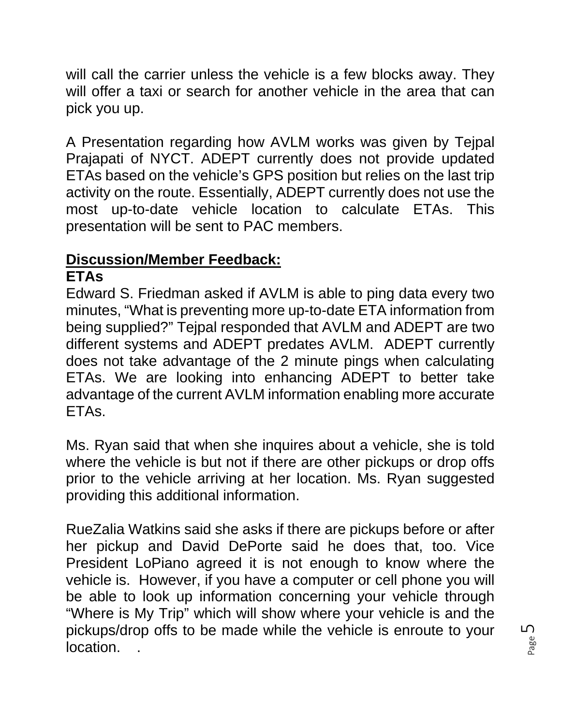will call the carrier unless the vehicle is a few blocks away. They will offer a taxi or search for another vehicle in the area that can pick you up.

A Presentation regarding how AVLM works was given by Tejpal Prajapati of NYCT. ADEPT currently does not provide updated ETAs based on the vehicle's GPS position but relies on the last trip activity on the route. Essentially, ADEPT currently does not use the most up-to-date vehicle location to calculate ETAs. This presentation will be sent to PAC members.

# **Discussion/Member Feedback:**

### **ETAs**

Edward S. Friedman asked if AVLM is able to ping data every two minutes, "What is preventing more up-to-date ETA information from being supplied?" Tejpal responded that AVLM and ADEPT are two different systems and ADEPT predates AVLM. ADEPT currently does not take advantage of the 2 minute pings when calculating ETAs. We are looking into enhancing ADEPT to better take advantage of the current AVLM information enabling more accurate ETAs.

Ms. Ryan said that when she inquires about a vehicle, she is told where the vehicle is but not if there are other pickups or drop offs prior to the vehicle arriving at her location. Ms. Ryan suggested providing this additional information.

RueZalia Watkins said she asks if there are pickups before or after her pickup and David DePorte said he does that, too. Vice President LoPiano agreed it is not enough to know where the vehicle is. However, if you have a computer or cell phone you will be able to look up information concerning your vehicle through "Where is My Trip" which will show where your vehicle is and the pickups/drop offs to be made while the vehicle is enroute to your location. .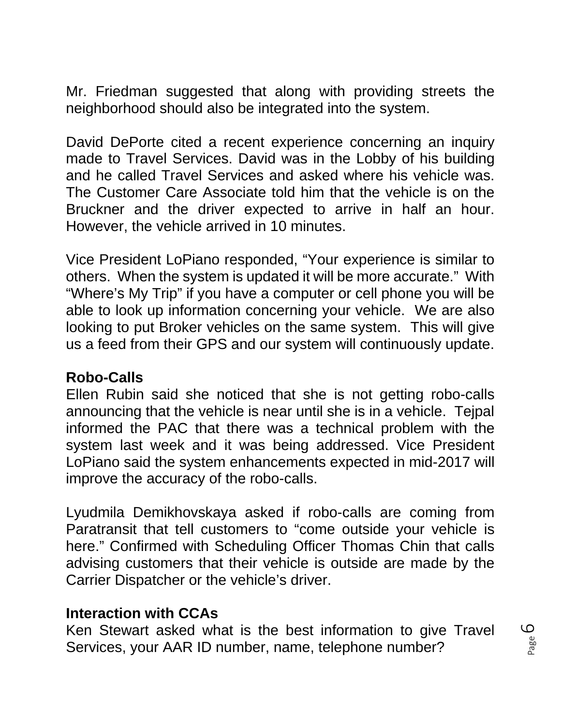Mr. Friedman suggested that along with providing streets the neighborhood should also be integrated into the system.

David DePorte cited a recent experience concerning an inquiry made to Travel Services. David was in the Lobby of his building and he called Travel Services and asked where his vehicle was. The Customer Care Associate told him that the vehicle is on the Bruckner and the driver expected to arrive in half an hour. However, the vehicle arrived in 10 minutes.

Vice President LoPiano responded, "Your experience is similar to others. When the system is updated it will be more accurate." With "Where's My Trip" if you have a computer or cell phone you will be able to look up information concerning your vehicle. We are also looking to put Broker vehicles on the same system. This will give us a feed from their GPS and our system will continuously update.

#### **Robo-Calls**

Ellen Rubin said she noticed that she is not getting robo-calls announcing that the vehicle is near until she is in a vehicle. Tejpal informed the PAC that there was a technical problem with the system last week and it was being addressed. Vice President LoPiano said the system enhancements expected in mid-2017 will improve the accuracy of the robo-calls.

Lyudmila Demikhovskaya asked if robo-calls are coming from Paratransit that tell customers to "come outside your vehicle is here." Confirmed with Scheduling Officer Thomas Chin that calls advising customers that their vehicle is outside are made by the Carrier Dispatcher or the vehicle's driver.

#### **Interaction with CCAs**

Ken Stewart asked what is the best information to give Travel Services, your AAR ID number, name, telephone number?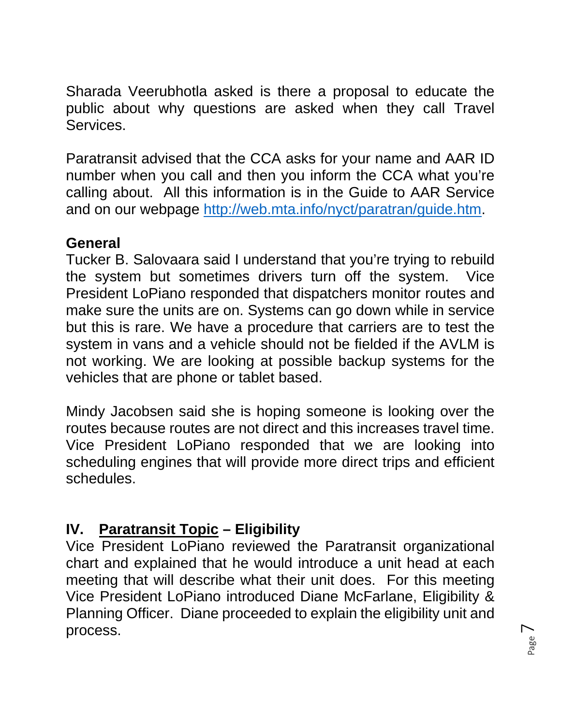Sharada Veerubhotla asked is there a proposal to educate the public about why questions are asked when they call Travel Services.

Paratransit advised that the CCA asks for your name and AAR ID number when you call and then you inform the CCA what you're calling about. All this information is in the Guide to AAR Service and on our webpage http://web.mta.info/nyct/paratran/guide.htm.

### **General**

Tucker B. Salovaara said I understand that you're trying to rebuild the system but sometimes drivers turn off the system. Vice President LoPiano responded that dispatchers monitor routes and make sure the units are on. Systems can go down while in service but this is rare. We have a procedure that carriers are to test the system in vans and a vehicle should not be fielded if the AVLM is not working. We are looking at possible backup systems for the vehicles that are phone or tablet based.

Mindy Jacobsen said she is hoping someone is looking over the routes because routes are not direct and this increases travel time. Vice President LoPiano responded that we are looking into scheduling engines that will provide more direct trips and efficient schedules.

# **IV. Paratransit Topic – Eligibility**

Vice President LoPiano reviewed the Paratransit organizational chart and explained that he would introduce a unit head at each meeting that will describe what their unit does. For this meeting Vice President LoPiano introduced Diane McFarlane, Eligibility & Planning Officer. Diane proceeded to explain the eligibility unit and process.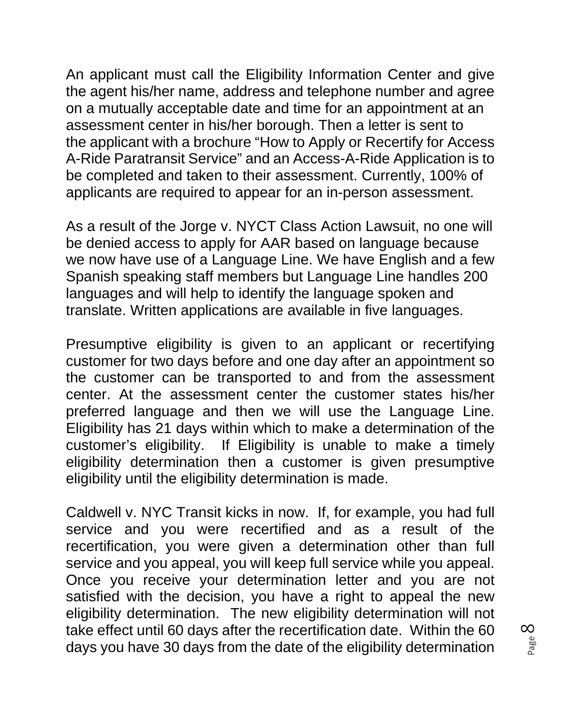An applicant must call the Eligibility Information Center and give the agent his/her name, address and telephone number and agree on a mutually acceptable date and time for an appointment at an assessment center in his/her borough. Then a letter is sent to the applicant with a brochure "How to Apply or Recertify for Access A-Ride Paratransit Service" and an Access-A-Ride Application is to be completed and taken to their assessment. Currently, 100% of applicants are required to appear for an in-person assessment.

As a result of the Jorge v. NYCT Class Action Lawsuit, no one will be denied access to apply for AAR based on language because we now have use of a Language Line. We have English and a few Spanish speaking staff members but Language Line handles 200 languages and will help to identify the language spoken and translate. Written applications are available in five languages.

Presumptive eligibility is given to an applicant or recertifying customer for two days before and one day after an appointment so the customer can be transported to and from the assessment center. At the assessment center the customer states his/her preferred language and then we will use the Language Line. Eligibility has 21 days within which to make a determination of the customer's eligibility. If Eligibility is unable to make a timely eligibility determination then a customer is given presumptive eligibility until the eligibility determination is made.

Caldwell v. NYC Transit kicks in now. If, for example, you had full service and you were recertified and as a result of the recertification, you were given a determination other than full service and you appeal, you will keep full service while you appeal. Once you receive your determination letter and you are not satisfied with the decision, you have a right to appeal the new eligibility determination. The new eligibility determination will not take effect until 60 days after the recertification date. Within the 60 days you have 30 days from the date of the eligibility determination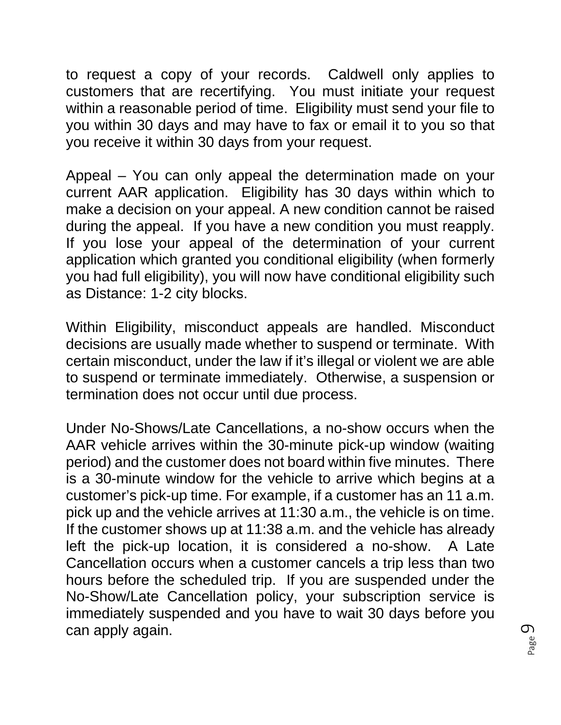to request a copy of your records. Caldwell only applies to customers that are recertifying. You must initiate your request within a reasonable period of time. Eligibility must send your file to you within 30 days and may have to fax or email it to you so that you receive it within 30 days from your request.

Appeal – You can only appeal the determination made on your current AAR application. Eligibility has 30 days within which to make a decision on your appeal. A new condition cannot be raised during the appeal. If you have a new condition you must reapply. If you lose your appeal of the determination of your current application which granted you conditional eligibility (when formerly you had full eligibility), you will now have conditional eligibility such as Distance: 1-2 city blocks.

Within Eligibility, misconduct appeals are handled. Misconduct decisions are usually made whether to suspend or terminate. With certain misconduct, under the law if it's illegal or violent we are able to suspend or terminate immediately. Otherwise, a suspension or termination does not occur until due process.

Under No-Shows/Late Cancellations, a no-show occurs when the AAR vehicle arrives within the 30-minute pick-up window (waiting period) and the customer does not board within five minutes. There is a 30-minute window for the vehicle to arrive which begins at a customer's pick-up time. For example, if a customer has an 11 a.m. pick up and the vehicle arrives at 11:30 a.m., the vehicle is on time. If the customer shows up at 11:38 a.m. and the vehicle has already left the pick-up location, it is considered a no-show. A Late Cancellation occurs when a customer cancels a trip less than two hours before the scheduled trip. If you are suspended under the No-Show/Late Cancellation policy, your subscription service is immediately suspended and you have to wait 30 days before you can apply again.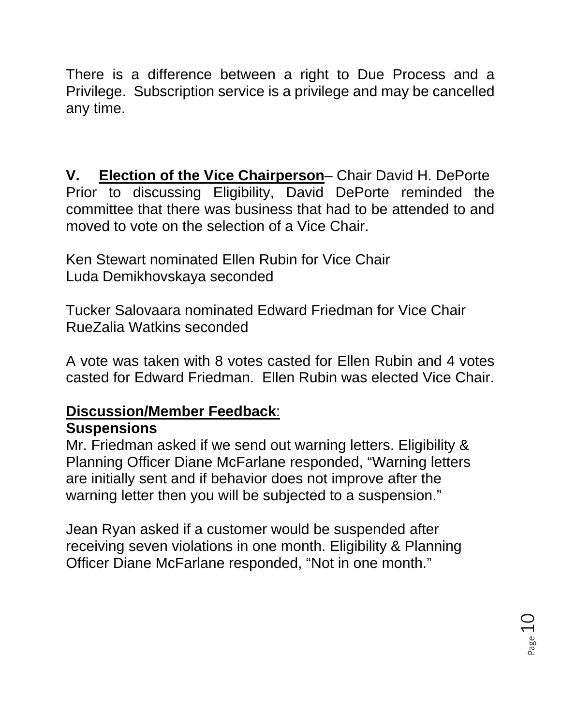There is a difference between a right to Due Process and a Privilege. Subscription service is a privilege and may be cancelled any time.

**V. Election of the Vice Chairperson**– Chair David H. DePorte Prior to discussing Eligibility, David DePorte reminded the committee that there was business that had to be attended to and moved to vote on the selection of a Vice Chair.

Ken Stewart nominated Ellen Rubin for Vice Chair Luda Demikhovskaya seconded

Tucker Salovaara nominated Edward Friedman for Vice Chair RueZalia Watkins seconded

A vote was taken with 8 votes casted for Ellen Rubin and 4 votes casted for Edward Friedman. Ellen Rubin was elected Vice Chair.

# **Discussion/Member Feedback**:

#### **Suspensions**

Mr. Friedman asked if we send out warning letters. Eligibility & Planning Officer Diane McFarlane responded, "Warning letters are initially sent and if behavior does not improve after the warning letter then you will be subjected to a suspension."

Jean Ryan asked if a customer would be suspended after receiving seven violations in one month. Eligibility & Planning Officer Diane McFarlane responded, "Not in one month."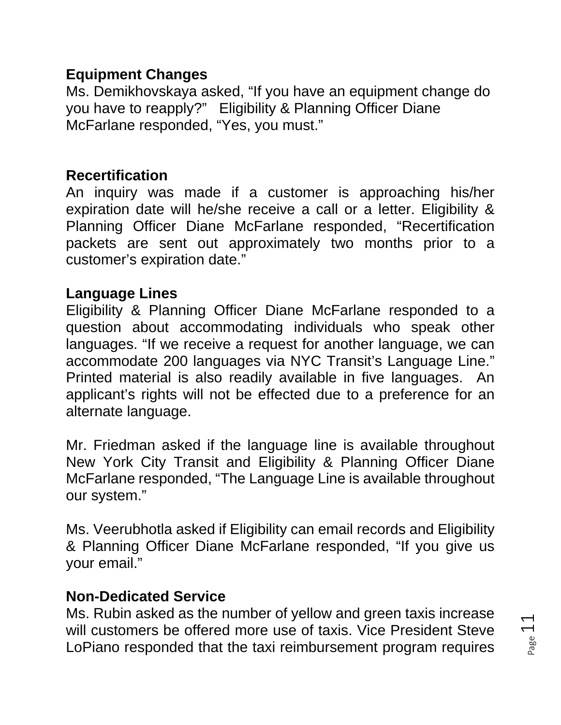#### **Equipment Changes**

Ms. Demikhovskaya asked, "If you have an equipment change do you have to reapply?" Eligibility & Planning Officer Diane McFarlane responded, "Yes, you must."

# **Recertification**

An inquiry was made if a customer is approaching his/her expiration date will he/she receive a call or a letter. Eligibility & Planning Officer Diane McFarlane responded, "Recertification packets are sent out approximately two months prior to a customer's expiration date."

### **Language Lines**

Eligibility & Planning Officer Diane McFarlane responded to a question about accommodating individuals who speak other languages. "If we receive a request for another language, we can accommodate 200 languages via NYC Transit's Language Line." Printed material is also readily available in five languages. An applicant's rights will not be effected due to a preference for an alternate language.

Mr. Friedman asked if the language line is available throughout New York City Transit and Eligibility & Planning Officer Diane McFarlane responded, "The Language Line is available throughout our system."

Ms. Veerubhotla asked if Eligibility can email records and Eligibility & Planning Officer Diane McFarlane responded, "If you give us your email."

## **Non-Dedicated Service**

Ms. Rubin asked as the number of yellow and green taxis increase will customers be offered more use of taxis. Vice President Steve LoPiano responded that the taxi reimbursement program requires